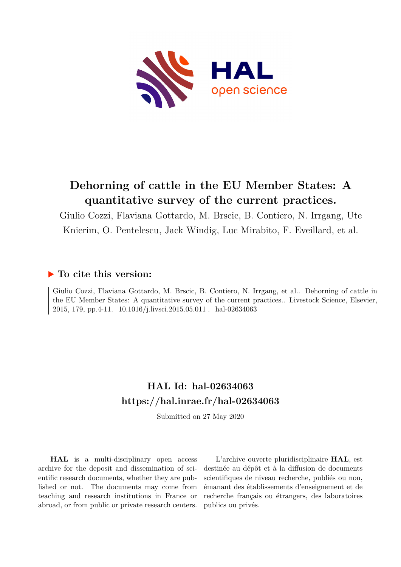

# **Dehorning of cattle in the EU Member States: A quantitative survey of the current practices.**

Giulio Cozzi, Flaviana Gottardo, M. Brscic, B. Contiero, N. Irrgang, Ute Knierim, O. Pentelescu, Jack Windig, Luc Mirabito, F. Eveillard, et al.

## **To cite this version:**

Giulio Cozzi, Flaviana Gottardo, M. Brscic, B. Contiero, N. Irrgang, et al.. Dehorning of cattle in the EU Member States: A quantitative survey of the current practices.. Livestock Science, Elsevier, 2015, 179, pp.4-11. 10.1016/j.livsci.2015.05.011 . hal-02634063

# **HAL Id: hal-02634063 <https://hal.inrae.fr/hal-02634063>**

Submitted on 27 May 2020

**HAL** is a multi-disciplinary open access archive for the deposit and dissemination of scientific research documents, whether they are published or not. The documents may come from teaching and research institutions in France or abroad, or from public or private research centers.

L'archive ouverte pluridisciplinaire **HAL**, est destinée au dépôt et à la diffusion de documents scientifiques de niveau recherche, publiés ou non, émanant des établissements d'enseignement et de recherche français ou étrangers, des laboratoires publics ou privés.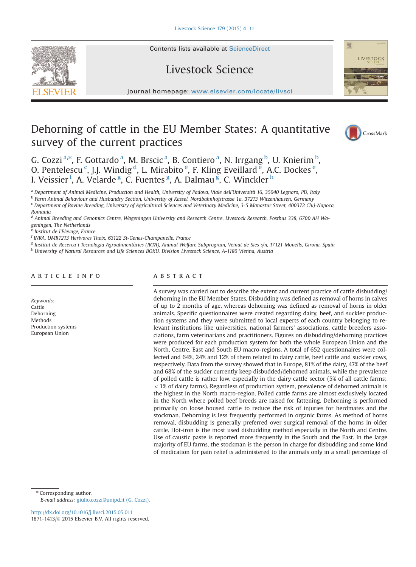## Livestock Science

journal homepage: <www.elsevier.com/locate/livsci>er.com/locate/livscier.com/locate/livscier.com/locate/livscier.com/locate/livscier.com/locate/livscier.com/locate/livscier.com/locate/livscier.com/locate/livscier.com/locate

## Dehorning of cattle in the EU Member States: A quantitative survey of the current practices



G. Cozzi<sup>a,\*</sup>, F. Gottardo<sup>a</sup>, M. Brscic<sup>a</sup>, B. Contiero<sup>a</sup>, N. Irrgang<sup>b</sup>, U. Knierim<sup>b</sup>, O. Pentelescu<sup>c</sup>, J.J. Windig<sup>d</sup>, L. Mirabito<sup>e</sup>, F. Kling Eveillard<sup>e</sup>, A.C. Dockes<sup>e</sup>, I. Veissier <sup>f</sup>, A. Velarde <sup>g</sup>, C. Fuentes <sup>g</sup>, A. Dalmau g, C. Winckler <sup>h</sup>

<sup>a</sup> Department of Animal Medicine, Production and Health, University of Padova, Viale dell'Università 16, 35040 Legnaro, PD, Italy

<sup>b</sup> Farm Animal Behaviour and Husbandry Section, University of Kassel, Nordbahnhofstrasse 1a, 37213 Witzenhausen, Germany <sup>c</sup> Department of Bovine Breeding, University of Agricultural Sciences and Veterinary Medicine, 3-5 Manastur Street, 400372 Cluj-Napoca,

Romania

<sup>d</sup> Animal Breeding and Genomics Centre, Wageningen University and Research Centre, Livestock Research, Postbus 338, 6700 AH Wageningen, The Netherlands

Institut de l'Elevage, France

f INRA, UMR1213 Herivores Theix, 63122 St-Genes-Champanelle, France

<sup>g</sup> Institut de Recerca i Tecnologia Agroalimentàries (IRTA), Animal Welfare Subprogram, Veinat de Sies s/n, 17121 Monells, Girona, Spain

h University of Natural Resources and Life Sciences BOKU, Division Livestock Science, A-1180 Vienna, Austria

## article info

Keywords: Cattle Dehorning **Methods** Production systems European Union

## **ABSTRACT**

A survey was carried out to describe the extent and current practice of cattle disbudding/ dehorning in the EU Member States. Disbudding was defined as removal of horns in calves of up to 2 months of age, whereas dehorning was defined as removal of horns in older animals. Specific questionnaires were created regarding dairy, beef, and suckler production systems and they were submitted to local experts of each country belonging to relevant institutions like universities, national farmers' associations, cattle breeders associations, farm veterinarians and practitioners. Figures on disbudding/dehorning practices were produced for each production system for both the whole European Union and the North, Centre, East and South EU macro-regions. A total of 652 questionnaires were collected and 64%, 24% and 12% of them related to dairy cattle, beef cattle and suckler cows, respectively. Data from the survey showed that in Europe, 81% of the dairy, 47% of the beef and 68% of the suckler currently keep disbudded/dehorned animals, while the prevalence of polled cattle is rather low, especially in the dairy cattle sector (5% of all cattle farms;  $<$  1% of dairy farms). Regardless of production system, prevalence of dehorned animals is the highest in the North macro-region. Polled cattle farms are almost exclusively located in the North where polled beef breeds are raised for fattening. Dehorning is performed primarily on loose housed cattle to reduce the risk of injuries for herdmates and the stockman. Dehorning is less frequently performed in organic farms. As method of horns removal, disbudding is generally preferred over surgical removal of the horns in older cattle. Hot-iron is the most used disbudding method especially in the North and Centre. Use of caustic paste is reported more frequently in the South and the East. In the large majority of EU farms, the stockman is the person in charge for disbudding and some kind of medication for pain relief is administered to the animals only in a small percentage of

\* Corresponding author. E-mail address: [giulio.cozzi@unipd.it \(G. Cozzi\).](mailto:giulio.cozzi@unipd.it)

<http://dx.doi.org/10.1016/j.livsci.2015.05.011> 1871-1413/© 2015 Elsevier B.V. All rights reserved.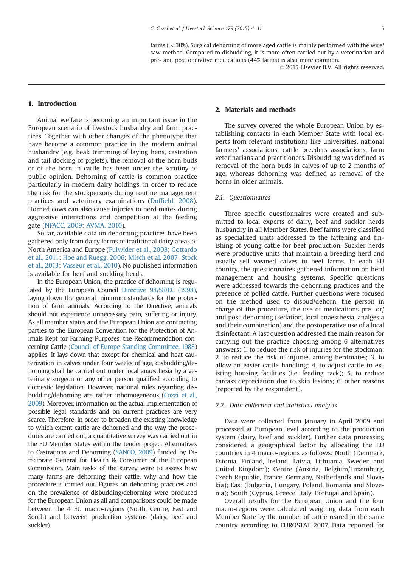farms  $( $30\%$ )$ . Surgical dehorning of more aged cattle is mainly performed with the wire/ saw method. Compared to disbudding, it is more often carried out by a veterinarian and pre- and post operative medications (44% farms) is also more common.

 $\odot$  2015 Elsevier B.V. All rights reserved.

## 1. Introduction

Animal welfare is becoming an important issue in the European scenario of livestock husbandry and farm practices. Together with other changes of the phenotype that have become a common practice in the modern animal husbandry (e.g. beak trimming of laying hens, castration and tail docking of piglets), the removal of the horn buds or of the horn in cattle has been under the scrutiny of public opinion. Dehorning of cattle is common practice particularly in modern dairy holdings, in order to reduce the risk for the stockpersons during routine management practices and veterinary examinations (Duffield, 2008). Horned cows can also cause injuries to herd mates during aggressive interactions and competition at the feeding gate (NFACC, 2009; AVMA, 2010).

So far, available data on dehorning practices have been gathered only from dairy farms of traditional dairy areas of North America and Europe (Fulwider et al., 2008; Gottardo et al., 2011; Hoe and Ruegg, 2006; Misch et al. 2007; Stock et al., 2013; Vasseur et al., 2010). No published information is available for beef and suckling herds.

In the European Union, the practice of dehorning is regulated by the European Council Directive 98/58/EC (1998), laying down the general minimum standards for the protection of farm animals. According to the Directive, animals should not experience unnecessary pain, suffering or injury. As all member states and the European Union are contracting parties to the European Convention for the Protection of Animals Kept for Farming Purposes, the Recommendation concerning Cattle (Council of Europe Standing Committee, 1988) applies. It lays down that except for chemical and heat cauterization in calves under four weeks of age, disbudding/dehorning shall be carried out under local anaesthesia by a veterinary surgeon or any other person qualified according to domestic legislation. However, national rules regarding disbudding/dehorning are rather inhomogeneous (Cozzi et al., 2009). Moreover, information on the actual implementation of possible legal standards and on current practices are very scarce. Therefore, in order to broaden the existing knowledge to which extent cattle are dehorned and the way the procedures are carried out, a quantitative survey was carried out in the EU Member States within the tender project Alternatives to Castrations and Dehorning (SANCO, 2009) funded by Directorate General for Health & Consumer of the European Commission. Main tasks of the survey were to assess how many farms are dehorning their cattle, why and how the procedure is carried out. Figures on dehorning practices and on the prevalence of disbudding/dehorning were produced for the European Union as all and comparisons could be made between the 4 EU macro-regions (North, Centre, East and South) and between production systems (dairy, beef and suckler).

## 2. Materials and methods

The survey covered the whole European Union by establishing contacts in each Member State with local experts from relevant institutions like universities, national farmers' associations, cattle breeders associations, farm veterinarians and practitioners. Disbudding was defined as removal of the horn buds in calves of up to 2 months of age, whereas dehorning was defined as removal of the horns in older animals.

#### 2.1. Questionnaires

Three specific questionnaires were created and submitted to local experts of dairy, beef and suckler herds husbandry in all Member States. Beef farms were classified as specialized units addressed to the fattening and finishing of young cattle for beef production. Suckler herds were productive units that maintain a breeding herd and usually sell weaned calves to beef farms. In each EU country, the questionnaires gathered information on herd management and housing systems. Specific questions were addressed towards the dehorning practices and the presence of polled cattle. Further questions were focused on the method used to disbud/dehorn, the person in charge of the procedure, the use of medications pre- or/ and post-dehorning (sedation, local anaesthesia, analgesia and their combination) and the postoperative use of a local disinfectant. A last question addressed the main reason for carrying out the practice choosing among 6 alternatives answers: 1. to reduce the risk of injuries for the stockman; 2. to reduce the risk of injuries among herdmates; 3. to allow an easier cattle handling; 4. to adjust cattle to existing housing facilities (i.e. feeding rack); 5. to reduce carcass depreciation due to skin lesions; 6. other reasons (reported by the respondent).

## 2.2. Data collection and statistical analysis

Data were collected from January to April 2009 and processed at European level according to the production system (dairy, beef and suckler). Further data processing considered a geographical factor by allocating the EU countries in 4 macro-regions as follows: North (Denmark, Estonia, Finland, Ireland, Latvia, Lithuania, Sweden and United Kingdom); Centre (Austria, Belgium/Luxemburg, Czech Republic, France, Germany, Netherlands and Slovakia); East (Bulgaria, Hungary, Poland, Romania and Slovenia); South (Cyprus, Greece, Italy, Portugal and Spain).

Overall results for the European Union and the four macro-regions were calculated weighing data from each Member State by the number of cattle reared in the same country according to EUROSTAT 2007. Data reported for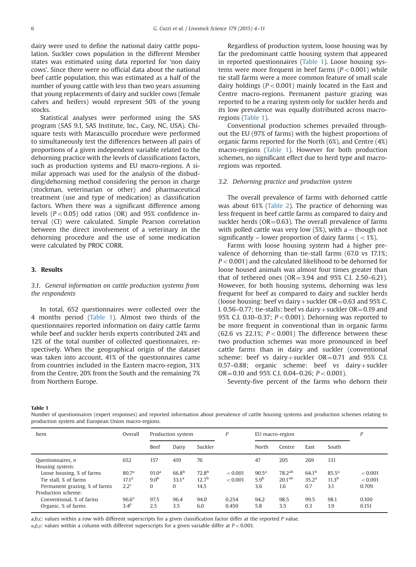dairy were used to define the national dairy cattle population. Suckler cows population in the different Member states was estimated using data reported for 'non dairy cows'. Since there were no official data about the national beef cattle population, this was estimated as a half of the number of young cattle with less than two years assuming that young replacements of dairy and suckler cows (female calves and heifers) would represent 50% of the young stocks.

Statistical analyses were performed using the SAS program (SAS 9.1, SAS Institute, Inc., Cary, NC, USA). Chisquare tests with Marascuillo procedure were performed to simultaneously test the differences between all pairs of proportions of a given independent variable related to the dehorning practice with the levels of classifications factors, such as production systems and EU macro-regions. A similar approach was used for the analysis of the disbudding/dehorning method considering the person in charge (stockman, veterinarian or other) and pharmaceutical treatment (use and type of medication) as classification factors. When there was a significant difference among levels ( $P < 0.05$ ) odd ratios (OR) and 95% confidence interval (CI) were calculated. Simple Pearson correlation between the direct involvement of a veterinary in the dehorning procedure and the use of some medication were calculated by PROC CORR.

## 3. Results

## 3.1. General information on cattle production systems from the respondents

In total, 652 questionnaires were collected over the 4 months period (Table 1). Almost two thirds of the questionnaires reported information on dairy cattle farms while beef and suckler herds experts contributed 24% and 12% of the total number of collected questionnaires, respectively. When the geographical origin of the dataset was taken into account, 41% of the questionnaires came from countries included in the Eastern macro-region, 31% from the Centre, 20% from the South and the remaining 7% from Northern Europe.

Regardless of production system, loose housing was by far the predominant cattle housing system that appeared in reported questionnaires (Table 1). Loose housing systems were more frequent in beef farms  $(P<0.001)$  while tie stall farms were a more common feature of small scale dairy holdings ( $P < 0.001$ ) mainly located in the East and Centre macro-regions. Permanent pasture grazing was reported to be a rearing system only for suckler herds and its low prevalence was equally distributed across macroregions (Table 1).

Conventional production schemes prevailed throughout the EU (97% of farms) with the highest proportions of organic farms reported for the North (6%), and Centre (4%) macro-regions (Table 1). However for both production schemes, no significant effect due to herd type and macroregions was reported.

## 3.2. Dehorning practice and production system

The overall prevalence of farms with dehorned cattle was about 61% (Table 2). The practice of dehorning was less frequent in beef cattle farms as compared to dairy and suckler herds ( $OR = 0.63$ ). The overall prevalence of farms with polled cattle was very low (5%), with a – though not significantly – lower proportion of dairy farms ( $\langle 1 \rangle$ ).

Farms with loose housing system had a higher prevalence of dehorning than tie-stall farms (67.0 vs 17.1%;  $P < 0.001$ ) and the calculated likelihood to be dehorned for loose housed animals was almost four times greater than that of tethered ones  $(OR = 3.94$  and 95% C.I. 2.50–6.21). However, for both housing systems, dehorning was less frequent for beef as compared to dairy and suckler herds (loose housing: beef vs dairy + suckler  $OR = 0.63$  and 95% C. I. 0.56–0.77; tie-stalls: beef vs dairy + suckler  $OR = 0.19$  and 95% C.I. 0.10–0.37;  $P < 0.001$ ). Dehorning was reported to be more frequent in conventional than in organic farms (62.6 vs 22.1%;  $P < 0.001$ ) The difference between these two production schemes was more pronounced in beef cattle farms than in dairy and suckler (conventional scheme: beef vs dairy+suckler  $OR = 0.71$  and 95% C.I. 0.57–0.88; organic scheme: beef vs dairy + suckler  $OR = 0.10$  and 95% C.I. 0.04–0.26;  $P < 0.001$ ).

Seventy-five percent of the farms who dehorn their

#### Table 1

Number of questionnaires (expert responses) and reported information about prevalence of cattle housing systems and production schemes relating to production system and European Union macro-regions.

| Item                                                                                | Overall                                                | Production system                                     |                                             | P                                              |                    | EU macro-region                           |                                          |                                        |                                            |                             |
|-------------------------------------------------------------------------------------|--------------------------------------------------------|-------------------------------------------------------|---------------------------------------------|------------------------------------------------|--------------------|-------------------------------------------|------------------------------------------|----------------------------------------|--------------------------------------------|-----------------------------|
|                                                                                     |                                                        | Beef                                                  | Dairy                                       | Suckler                                        |                    | North                                     | Centre                                   | East                                   | South                                      |                             |
| Questionnaires, n<br>Housing system:                                                | 652                                                    | 157                                                   | 419                                         | 76                                             |                    | 47                                        | 205                                      | 269                                    | 131                                        |                             |
| Loose housing, % of farms<br>Tie stall, % of farms<br>Permanent grazing, % of farms | $80.7^{\alpha}$<br>17.1 <sup>β</sup><br>$2.2^{\gamma}$ | 91.0 <sup>a</sup><br>9.0 <sup>b</sup><br>$\mathbf{0}$ | $66.8^{b}$<br>33.1 <sup>a</sup><br>$\Omega$ | 72.8 <sup>b</sup><br>12.7 <sup>b</sup><br>14.5 | < 0.001<br>< 0.001 | $90.5^{\rm a}$<br>5.9 <sup>b</sup><br>3.6 | $78.2^{ab}$<br>20.1 <sup>ab</sup><br>1.6 | $64.1^{b}$<br>35.2 <sup>a</sup><br>0.7 | $85.5^{\rm a}$<br>11.3 <sup>b</sup><br>3.1 | < 0.001<br>< 0.001<br>0.709 |
| Production scheme:<br>Conventional, % of farms<br>Organic, % of farms               | $96.6^{\alpha}$<br>$3.4^{\beta}$                       | 97.5<br>2.5                                           | 96.4<br>3.5                                 | 94.0<br>6.0                                    | 0.254<br>0.450     | 94.2<br>5.8                               | 98.5<br>3.5                              | 99.5<br>0.3                            | 98.1<br>1.9                                | 0.100<br>0.151              |

a,b,c: values within a row with different superscripts for a given classification factor differ at the reported P value.

α, β, γ: values within a column with different superscripts for a given variable differ at  $P < 0.001$ .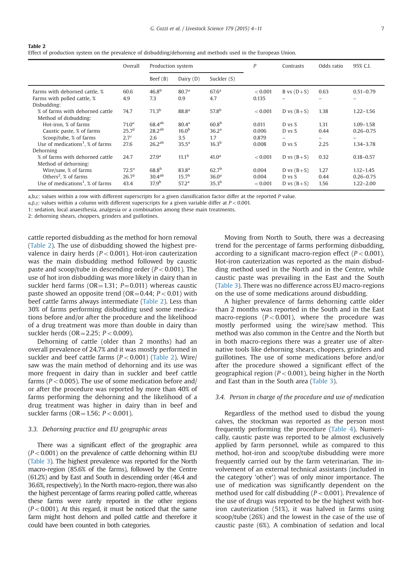| Table 2<br>Effect of production system on the prevalence of disbudding/dehorning and methods used in the European Union. |                   |  |           |            |         |  |  |  |  |  |
|--------------------------------------------------------------------------------------------------------------------------|-------------------|--|-----------|------------|---------|--|--|--|--|--|
| Overall                                                                                                                  | Production system |  | Contrasts | Odds ratio | 95% C.I |  |  |  |  |  |

| Overall           |                    |                                         |                                                             | P                                      | Contrasts    | Odds ratio   | 95% C.I.      |
|-------------------|--------------------|-----------------------------------------|-------------------------------------------------------------|----------------------------------------|--------------|--------------|---------------|
|                   | Beef $(B)$         | Dairy $(D)$                             | Suckler (S)                                                 |                                        |              |              |               |
| 60.6              | 46.8 <sup>b</sup>  | 80.7 <sup>a</sup>                       | 67.6 <sup>a</sup>                                           | < 0.001                                | B vs $(D+S)$ | 0.63         | $0.51 - 0.79$ |
| 4.9               | 7.3                | 0.9                                     | 4.7                                                         | 0.135                                  |              |              |               |
| 74.7              | 71.3 <sup>b</sup>  | 88.8 <sup>a</sup>                       | $57.8^{b}$                                                  | < 0.001                                | D vs $(B+S)$ | 1.38         | $1.22 - 1.56$ |
| $71.0^{\alpha}$   | $68.4^{ab}$        | 80.4 <sup>a</sup>                       | 60.8 <sup>b</sup>                                           | 0.011                                  | D vs S       | 1.31         | $1.09 - 1.58$ |
| $25.7^{\beta}$    | 28.2 <sup>ab</sup> | 16.0 <sup>b</sup>                       | 36.2 <sup>a</sup>                                           | 0.006                                  | D vs S       | 0.44         | $0.26 - 0.75$ |
| $2.7^{\gamma}$    | 2.6                | 3.5                                     | 1.7                                                         | 0.879                                  |              |              | -             |
| 27.6              | $26.2^{ab}$        | 35.5 <sup>a</sup>                       | 16.3 <sup>b</sup>                                           | 0.008                                  | D vs S       | 2.25         | 1.34-3.78     |
|                   |                    |                                         |                                                             |                                        |              |              |               |
| 24.7              | 27.9 <sup>a</sup>  | 11.1 <sup>b</sup>                       | 41.0 <sup>a</sup>                                           | < 0.001                                | D vs $(B+S)$ | 0.32         | $0.18 - 0.57$ |
| $72.5^{\alpha}$   | $68.8^{b}$         | 83.8 <sup>a</sup>                       | 62.7 <sup>b</sup>                                           | 0.004                                  | D vs $(B+S)$ | 1.27         | $1.12 - 1.45$ |
| 26.7 <sup>β</sup> |                    |                                         |                                                             | 0.004                                  | D vs S       | 0.44         | $0.26 - 0.75$ |
| 43.4              |                    |                                         |                                                             | < 0.001                                |              | 1.56         | $1.22 - 2.00$ |
|                   |                    | 30.4 <sup>ab</sup><br>37.9 <sup>b</sup> | Production system<br>15.7 <sup>b</sup><br>57.2 <sup>a</sup> | 36.0 <sup>a</sup><br>35.3 <sup>b</sup> |              | D vs $(B+S)$ |               |

a,b,c: values within a row with different superscripts for a given classification factor differ at the reported P value.

α, β, γ: values within a column with different superscripts for a given variable differ at  $P < 0.001$ .

1: sedation, local anaesthesia, analgesia or a combination among these main treatments.

2: dehorning shears, choppers, grinders and guillotines.

cattle reported disbudding as the method for horn removal (Table 2). The use of disbudding showed the highest prevalence in dairy herds ( $P < 0.001$ ). Hot-iron cauterization was the main disbudding method followed by caustic paste and scoop/tube in descending order ( $P < 0.001$ ). The use of hot iron disbudding was more likely in dairy than in suckler herd farms ( $OR = 1.31$ ;  $P = 0.011$ ) whereas caustic paste showed an opposite trend (OR=0.44;  $P < 0.01$ ) with beef cattle farms always intermediate (Table 2). Less than 30% of farms performing disbudding used some medications before and/or after the procedure and the likelihood of a drug treatment was more than double in dairy than suckler herds ( $OR = 2.25$ ;  $P < 0.009$ ).

Dehorning of cattle (older than 2 months) had an overall prevalence of 24.7% and it was mostly performed in suckler and beef cattle farms  $(P < 0.001)$  (Table 2). Wire/ saw was the main method of dehorning and its use was more frequent in dairy than in suckler and beef cattle farms ( $P < 0.005$ ). The use of some medication before and/ or after the procedure was reported by more than 40% of farms performing the dehorning and the likelihood of a drug treatment was higher in dairy than in beef and suckler farms ( $OR = 1.56$ ;  $P < 0.001$ ).

### 3.3. Dehorning practice and EU geographic areas

There was a significant effect of the geographic area  $(P<0.001)$  on the prevalence of cattle dehorning within EU (Table 3). The highest prevalence was reported for the North macro-region (85.6% of the farms), followed by the Centre (61.2%) and by East and South in descending order (46.4 and 36.6%, respectively). In the North macro-region, there was also the highest percentage of farms rearing polled cattle, whereas these farms were rarely reported in the other regions  $(P<0.001)$ . At this regard, it must be noticed that the same farm might host dehorn and polled cattle and therefore it could have been counted in both categories.

Moving from North to South, there was a decreasing trend for the percentage of farms performing disbudding, according to a significant macro-region effect  $(P < 0.001)$ . Hot-iron cauterization was reported as the main disbudding method used in the North and in the Centre, while caustic paste was prevailing in the East and the South (Table 3). There was no difference across EU macro-regions on the use of some medications around disbudding.

A higher prevalence of farms dehorning cattle older than 2 months was reported in the South and in the East macro-regions ( $P < 0.001$ ), where the procedure was mostly performed using the wire/saw method. This method was also common in the Centre and the North but in both macro-regions there was a greater use of alternative tools like dehorning shears, choppers, grinders and guillotines. The use of some medications before and/or after the procedure showed a significant effect of the geographical region ( $P < 0.001$ ), being higher in the North and East than in the South area (Table 3).

## 3.4. Person in charge of the procedure and use of medication

Regardless of the method used to disbud the young calves, the stockman was reported as the person most frequently performing the procedure (Table 4). Numerically, caustic paste was reported to be almost exclusively applied by farm personnel, while as compared to this method, hot-iron and scoop/tube disbudding were more frequently carried out by the farm veterinarian. The involvement of an external technical assistants (included in the category 'other') was of only minor importance. The use of medication was significantly dependent on the method used for calf disbudding ( $P < 0.001$ ). Prevalence of the use of drugs was reported to be the highest with hotiron cauterization (51%), it was halved in farms using scoop/tube (26%) and the lowest in the case of the use of caustic paste (6%). A combination of sedation and local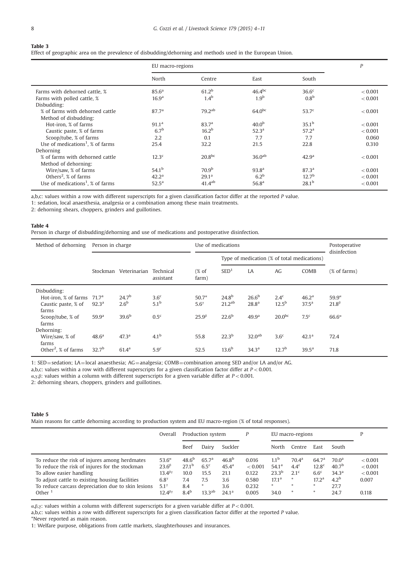#### Table 3

Effect of geographic area on the prevalence of disbudding/dehorning and methods used in the European Union.

|                                                 | EU macro-regions  |                    | $\boldsymbol{P}$   |                   |         |
|-------------------------------------------------|-------------------|--------------------|--------------------|-------------------|---------|
|                                                 | North             | Centre             | East               | South             |         |
| Farms with dehorned cattle, %                   | 85.6 <sup>a</sup> | 61.2 <sup>b</sup>  | $46.4^{bc}$        | 36.6 <sup>c</sup> | < 0.001 |
| Farms with polled cattle, %                     | 16.9 <sup>a</sup> | 1.4 <sup>b</sup>   | 1.9 <sup>b</sup>   | 0.8 <sup>b</sup>  | < 0.001 |
| Disbudding:                                     |                   |                    |                    |                   |         |
| % of farms with dehorned cattle                 | 87.7 <sup>a</sup> | 79.2 <sup>ab</sup> | $64.0^{bc}$        | 53.7 <sup>c</sup> | < 0.001 |
| Method of disbudding:                           |                   |                    |                    |                   |         |
| Hot-iron, % of farms                            | 91.1 <sup>a</sup> | 83.7 <sup>a</sup>  | 40.0 <sup>b</sup>  | $35.1^{\rm b}$    | < 0.001 |
| Caustic paste, % of farms                       | 6.7 <sup>b</sup>  | 16.2 <sup>b</sup>  | 52.3 <sup>a</sup>  | 57.2 <sup>a</sup> | < 0.001 |
| Scoop/tube, % of farms                          | 2.2               | 0.1                | 7.7                | 7.7               | 0.060   |
| Use of medications <sup>1</sup> , $\%$ of farms | 25.4              | 32.2               | 21.5               | 22.8              | 0.310   |
| Dehorning                                       |                   |                    |                    |                   |         |
| % of farms with dehorned cattle                 | 12.3 <sup>c</sup> | 20.8 <sup>bc</sup> | 36.0 <sup>ab</sup> | 42.9 <sup>a</sup> | < 0.001 |
| Method of dehorning:                            |                   |                    |                    |                   |         |
| Wire/saw, % of farms                            | 54.1 <sup>b</sup> | 70.9 <sup>b</sup>  | 93.8 <sup>a</sup>  | 87.3 <sup>a</sup> | < 0.001 |
| Others <sup>2</sup> , $%$ of farms              | 42.2 <sup>a</sup> | 29.1 <sup>a</sup>  | 6.2 <sup>b</sup>   | 12.7 <sup>b</sup> | < 0.001 |
| Use of medications <sup>1</sup> , $%$ of farms  | $52.5^{\rm a}$    | 41.4 <sup>ab</sup> | 56.8 <sup>a</sup>  | 28.1 <sup>b</sup> | < 0.001 |

a,b,c: values within a row with different superscripts for a given classification factor differ at the reported P value.

1: sedation, local anaesthesia, analgesia or a combination among these main treatments.

2: dehorning shears, choppers, grinders and guillotines.

## Table 4

Person in charge of disbudding/dehorning and use of medications and postoperative disinfection.

| Method of dehorning                                                                              | Person in charge                                         |                                                     |                                                       | Use of medications                                  |                                                    |                                                             | Postoperative<br>disinfection                  |                                                         |                                                    |
|--------------------------------------------------------------------------------------------------|----------------------------------------------------------|-----------------------------------------------------|-------------------------------------------------------|-----------------------------------------------------|----------------------------------------------------|-------------------------------------------------------------|------------------------------------------------|---------------------------------------------------------|----------------------------------------------------|
|                                                                                                  |                                                          |                                                     |                                                       |                                                     | Type of medication (% of total medications)        |                                                             |                                                |                                                         |                                                    |
|                                                                                                  | Stockman                                                 | Veterinarian                                        | Technical<br>assistant                                | (% of<br>farm)                                      | SED <sup>1</sup>                                   | LA                                                          | AG                                             | COMB                                                    | (% of farms)                                       |
| Disbudding:<br>Hot-iron, % of farms<br>Caustic paste, % of<br>farms<br>Scoop/tube, % of<br>farms | 71.7 <sup>a</sup><br>$92.3^{\rm a}$<br>59.9 <sup>a</sup> | 24.7 <sup>b</sup><br>2.6 <sup>b</sup><br>$39.6^{b}$ | 3.6 <sup>c</sup><br>5.1 <sup>b</sup><br>$0.5^{\circ}$ | $50.7^{\alpha}$<br>$5.6^{\gamma}$<br>$25.9^{\beta}$ | $24.8^{b}$<br>21.2 <sup>ab</sup><br>$22.6^{\rm b}$ | 26.6 <sup>b</sup><br>28.8 <sup>a</sup><br>49.9 <sup>a</sup> | $2.4^{\circ}$<br>$12.5^{\rm b}$<br>$20.0^{bc}$ | 46.2 <sup>a</sup><br>37.5 <sup>a</sup><br>$7.5^{\circ}$ | $59.9^{\alpha}$<br>$21.8^{\beta}$<br>$66.6^\alpha$ |
| Dehorning:<br>Wire/saw, % of<br>farms<br>Other <sup>2</sup> , $%$ of farms                       | 48.6 <sup>a</sup><br>32.7 <sup>b</sup>                   | 47.3 <sup>a</sup><br>$61.4^{\rm a}$                 | 4.1 <sup>b</sup><br>5.9 <sup>c</sup>                  | 55.8<br>52.5                                        | $22.3^{\rm b}$<br>$13.6^{b}$                       | 32.0 <sup>ab</sup><br>34.3 <sup>a</sup>                     | 3.6 <sup>c</sup><br>12.7 <sup>b</sup>          | 42.1 <sup>a</sup><br>39.5 <sup>a</sup>                  | 72.4<br>71.8                                       |

1: SED = sedation; LA = local anaesthesia; AG = analgesia; COMB = combination among SED and/or LA and/or AG.

a,b,c: values within a row with different superscripts for a given classification factor differ at  $P < 0.001$ .

α, γ,β: values within a column with different superscripts for a given variable differ at  $P < 0.001$ .

2: dehorning shears, choppers, grinders and guillotines.

#### Table 5 Main reasons for cattle dehorning according to production system and EU macro-region (% of total responses).

|                                                                                                                                                                                                                                                   | Overall                                                                                                           | Production system                                                         |                                                                           |                                                                                   | P                                                    | EU macro-regions                                                                           |                                                                         |                                                                                                     | P                                                                                            |                                                 |
|---------------------------------------------------------------------------------------------------------------------------------------------------------------------------------------------------------------------------------------------------|-------------------------------------------------------------------------------------------------------------------|---------------------------------------------------------------------------|---------------------------------------------------------------------------|-----------------------------------------------------------------------------------|------------------------------------------------------|--------------------------------------------------------------------------------------------|-------------------------------------------------------------------------|-----------------------------------------------------------------------------------------------------|----------------------------------------------------------------------------------------------|-------------------------------------------------|
|                                                                                                                                                                                                                                                   |                                                                                                                   | Beef                                                                      | Dairy                                                                     | Suckler                                                                           |                                                      | North                                                                                      | Centre                                                                  | East                                                                                                | South                                                                                        |                                                 |
| To reduce the risk of injures among herdmates<br>To reduce the risk of injures for the stockman<br>To allow easier handling<br>To adjust cattle to existing housing facilities<br>To reduce carcass depreciation due to skin lesions<br>Other $1$ | $53.6^\alpha$<br>$23.6^{\beta}$<br>13.4 <sup>βγ</sup><br>$6.8^{\gamma}$<br>$5.1^{\gamma}$<br>$12.4^{\beta\gamma}$ | $48.6^{b}$<br>27.1 <sup>b</sup><br>10.0<br>7.4<br>8.4<br>8.4 <sup>b</sup> | 65.7 <sup>a</sup><br>6.5 <sup>c</sup><br>15.5<br>7.5<br>*.<br>$13.3^{ab}$ | 46.8 <sup>b</sup><br>45.4 <sup>a</sup><br>21.1<br>3.6<br>3.6<br>24.1 <sup>a</sup> | 0.016<br>< 0.001<br>0.122<br>0.580<br>0.232<br>0.005 | 1.1 <sup>b</sup><br>54.1 <sup>a</sup><br>$23.3^{b}$<br>$17.1^{\text{a}}$<br>$\ast$<br>34.0 | 70.4 <sup>a</sup><br>$4.4^{\circ}$<br>2.1 <sup>c</sup><br>*<br>sk.<br>* | 64.7 <sup>a</sup><br>12.8 <sup>c</sup><br>6.6 <sup>c</sup><br>17.2 <sup>a</sup><br>$\ast$<br>$\ast$ | 70.0 <sup>a</sup><br>40.7 <sup>b</sup><br>34.3 <sup>a</sup><br>$4.2^{\rm b}$<br>27.7<br>24.7 | < 0.001<br>< 0.001<br>< 0.001<br>0.007<br>0.118 |

α, β,γ: values within a column with different superscripts for a given variable differ at  $P < 0.001$ .

a,b,c: values within a row with different superscripts for a given classification factor differ at the reported P value.

\*Never reported as main reason.

1: Welfare purpose, obligations from cattle markets, slaughterhouses and insurances.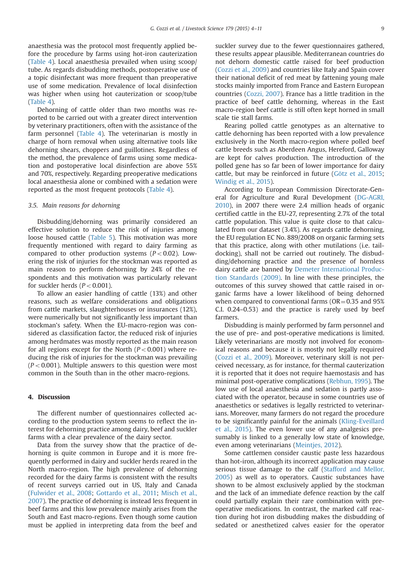anaesthesia was the protocol most frequently applied before the procedure by farms using hot-iron cauterization (Table 4). Local anaesthesia prevailed when using scoop/ tube. As regards disbudding methods, postoperative use of a topic disinfectant was more frequent than preoperative use of some medication. Prevalence of local disinfection was higher when using hot cauterization or scoop/tube (Table 4).

Dehorning of cattle older than two months was reported to be carried out with a greater direct intervention by veterinary practitioners, often with the assistance of the farm personnel (Table 4). The veterinarian is mostly in charge of horn removal when using alternative tools like dehorning shears, choppers and guillotines. Regardless of the method, the prevalence of farms using some medication and postoperative local disinfection are above 55% and 70%, respectively. Regarding preoperative medications local anaesthesia alone or combined with a sedation were reported as the most frequent protocols (Table 4).

#### 3.5. Main reasons for dehorning

Disbudding/dehorning was primarily considered an effective solution to reduce the risk of injuries among loose housed cattle (Table 5). This motivation was more frequently mentioned with regard to dairy farming as compared to other production systems  $(P< 0.02)$ . Lowering the risk of injuries for the stockman was reported as main reason to perform dehorning by 24% of the respondents and this motivation was particularly relevant for suckler herds  $(P< 0.001)$ .

To allow an easier handling of cattle (13%) and other reasons, such as welfare considerations and obligations from cattle markets, slaughterhouses or insurances (12%), were numerically but not significantly less important than stockman's safety. When the EU-macro-region was considered as classification factor, the reduced risk of injuries among herdmates was mostly reported as the main reason for all regions except for the North  $(P<0.001)$  where reducing the risk of injuries for the stockman was prevailing  $(P<0.001)$ . Multiple answers to this question were most common in the South than in the other macro-regions.

## 4. Discussion

The different number of questionnaires collected according to the production system seems to reflect the interest for dehorning practice among dairy, beef and suckler farms with a clear prevalence of the dairy sector.

Data from the survey show that the practice of dehorning is quite common in Europe and it is more frequently performed in dairy and suckler herds reared in the North macro-region. The high prevalence of dehorning recorded for the dairy farms is consistent with the results of recent surveys carried out in US, Italy and Canada (Fulwider et al., 2008; Gottardo et al., 2011; Misch et al., 2007). The practice of dehorning is instead less frequent in beef farms and this low prevalence mainly arises from the South and East macro-regions. Even though some caution must be applied in interpreting data from the beef and suckler survey due to the fewer questionnaires gathered, these results appear plausible. Mediterranean countries do not dehorn domestic cattle raised for beef production (Cozzi et al., 2009) and countries like Italy and Spain cover their national deficit of red meat by fattening young male stocks mainly imported from France and Eastern European countries (Cozzi, 2007). France has a little tradition in the practice of beef cattle dehorning, whereas in the East macro-region beef cattle is still often kept horned in small scale tie stall farms.

Rearing polled cattle genotypes as an alternative to cattle dehorning has been reported with a low prevalence exclusively in the North macro-region where polled beef cattle breeds such as Aberdeen Angus, Hereford, Galloway are kept for calves production. The introduction of the polled gene has so far been of lower importance for dairy cattle, but may be reinforced in future (Götz et al., 2015; Windig et al., 2015).

According to European Commission Directorate-General for Agriculture and Rural Development (DG-AGRI, 2010), in 2007 there were 2.4 million heads of organic certified cattle in the EU-27, representing 2.7% of the total cattle population. This value is quite close to that calculated from our dataset (3.4%). As regards cattle dehorning, the EU regulation EC No. 889/2008 on organic farming sets that this practice, along with other mutilations (i.e. taildocking), shall not be carried out routinely. The disbudding/dehorning practice and the presence of hornless dairy cattle are banned by Demeter International Production Standards (2009). In line with these principles, the outcomes of this survey showed that cattle raised in organic farms have a lower likelihood of being dehorned when compared to conventional farms ( $OR = 0.35$  and 95%) C.I. 0.24–0.53) and the practice is rarely used by beef farmers.

Disbudding is mainly performed by farm personnel and the use of pre- and post-operative medications is limited. Likely veterinarians are mostly not involved for economical reasons and because it is mostly not legally required (Cozzi et al., 2009). Moreover, veterinary skill is not perceived necessary, as for instance, for thermal cauterization it is reported that it does not require haemostasis and has minimal post-operative complications (Rebhun, 1995). The low use of local anaesthesia and sedation is partly associated with the operator, because in some countries use of anaesthetics or sedatives is legally restricted to veterinarians. Moreover, many farmers do not regard the procedure to be significantly painful for the animals (Kling-Eveillard et al., 2015). The even lower use of any analgesics presumably is linked to a generally low state of knowledge, even among veterinarians (Meintjes, 2012).

Some cattlemen consider caustic paste less hazardous than hot-iron, although its incorrect application may cause serious tissue damage to the calf (Stafford and Mellor, 2005) as well as to operators. Caustic substances have shown to be almost exclusively applied by the stockman and the lack of an immediate defence reaction by the calf could partially explain their rare combination with preoperative medications. In contrast, the marked calf reaction during hot iron disbudding makes the disbudding of sedated or anesthetized calves easier for the operator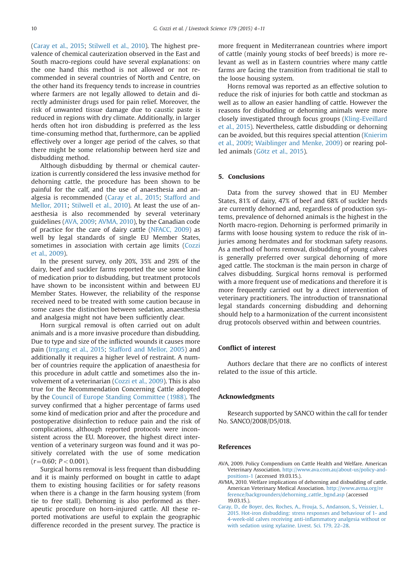(Caray et al., 2015; Stilwell et al., 2010). The highest prevalence of chemical cauterization observed in the East and South macro-regions could have several explanations: on the one hand this method is not allowed or not recommended in several countries of North and Centre, on the other hand its frequency tends to increase in countries where farmers are not legally allowed to detain and directly administer drugs used for pain relief. Moreover, the risk of unwanted tissue damage due to caustic paste is reduced in regions with dry climate. Additionally, in larger herds often hot iron disbudding is preferred as the less time-consuming method that, furthermore, can be applied effectively over a longer age period of the calves, so that there might be some relationship between herd size and disbudding method.

Although disbudding by thermal or chemical cauterization is currently considered the less invasive method for dehorning cattle, the procedure has been shown to be painful for the calf, and the use of anaesthesia and analgesia is recommended (Caray et al., 2015; Stafford and Mellor, 2011; Stilwell et al., 2010). At least the use of anaesthesia is also recommended by several veterinary guidelines (AVA, 2009; AVMA, 2010), by the Canadian code of practice for the care of dairy cattle (NFACC, 2009) as well by legal standards of single EU Member States, sometimes in association with certain age limits (Cozzi et al., 2009).

In the present survey, only 20%, 35% and 29% of the dairy, beef and suckler farms reported the use some kind of medication prior to disbudding, but treatment protocols have shown to be inconsistent within and between EU Member States. However, the reliability of the response received need to be treated with some caution because in some cases the distinction between sedation, anaesthesia and analgesia might not have been sufficiently clear.

Horn surgical removal is often carried out on adult animals and is a more invasive procedure than disbudding. Due to type and size of the inflicted wounds it causes more pain (Irrgang et al., 2015; Stafford and Mellor, 2005) and additionally it requires a higher level of restraint. A number of countries require the application of anaesthesia for this procedure in adult cattle and sometimes also the involvement of a veterinarian (Cozzi et al., 2009). This is also true for the Recommendation Concerning Cattle adopted by the Council of Europe Standing Committee (1988). The survey confirmed that a higher percentage of farms used some kind of medication prior and after the procedure and postoperative disinfection to reduce pain and the risk of complications, although reported protocols were inconsistent across the EU. Moreover, the highest direct intervention of a veterinary surgeon was found and it was positively correlated with the use of some medication  $(r=0.60; P<0.001)$ .

Surgical horns removal is less frequent than disbudding and it is mainly performed on bought in cattle to adapt them to existing housing facilities or for safety reasons when there is a change in the farm housing system (from tie to free stall). Dehorning is also performed as therapeutic procedure on horn-injured cattle. All these reported motivations are useful to explain the geographic difference recorded in the present survey. The practice is

more frequent in Mediterranean countries where import of cattle (mainly young stocks of beef breeds) is more relevant as well as in Eastern countries where many cattle farms are facing the transition from traditional tie stall to the loose housing system.

Horns removal was reported as an effective solution to reduce the risk of injuries for both cattle and stockman as well as to allow an easier handling of cattle. However the reasons for disbudding or dehorning animals were more closely investigated through focus groups (Kling-Eveillard et al., 2015). Nevertheless, cattle disbudding or dehorning can be avoided, but this requires special attention (Knierim et al., 2009; Waiblinger and Menke, 2009) or rearing polled animals (Götz et al., 2015).

## 5. Conclusions

Data from the survey showed that in EU Member States, 81% of dairy, 47% of beef and 68% of suckler herds are currently dehorned and, regardless of production systems, prevalence of dehorned animals is the highest in the North macro-region. Dehorning is performed primarily in farms with loose housing system to reduce the risk of injuries among herdmates and for stockman safety reasons. As a method of horns removal, disbudding of young calves is generally preferred over surgical dehorning of more aged cattle. The stockman is the main person in charge of calves disbudding. Surgical horns removal is performed with a more frequent use of medications and therefore it is more frequently carried out by a direct intervention of veterinary practitioners. The introduction of transnational legal standards concerning disbudding and dehorning should help to a harmonization of the current inconsistent drug protocols observed within and between countries.

## Conflict of interest

Authors declare that there are no conflicts of interest related to the issue of this article.

## Acknowledgments

Research supported by SANCO within the call for tender No. SANCO/2008/D5/018.

## References

- AVA, 2009. Policy Compendium on Cattle Health and Welfare. American Veterinary Association. [http://www.ava.com.au/about-us/policy-and](http://www.ava.com.au/about-us/policy-and-positions-1)[positions-1](http://www.ava.com.au/about-us/policy-and-positions-1) (accessed 19.03.15.).
- AVMA, 2010. Welfare implications of dehorning and disbudding of cattle. American Veterinary Medical Association. [http://www.avma.org/re](http://www.avma.org/reference/backgrounders/dehorning_cattle_bgnd.asp) [ference/backgrounders/dehorning\\_cattle\\_bgnd.asp](http://www.avma.org/reference/backgrounders/dehorning_cattle_bgnd.asp) (accessed 19.03.15.).
- [Caray, D., de Boyer, des, Roches, A., Frouja, S., Andanson, S., Veissier, I.,](http://refhub.elsevier.com/S1871-1413(15)00240-1/sbref1) [2015. Hot-iron disbudding: stress responses and behaviour of 1- and](http://refhub.elsevier.com/S1871-1413(15)00240-1/sbref1) [4-week-old calves receiving anti-inflammatory analgesia without or](http://refhub.elsevier.com/S1871-1413(15)00240-1/sbref1) [with sedation using xylazine. Livest. Sci. 179, 22](http://refhub.elsevier.com/S1871-1413(15)00240-1/sbref1)–28.